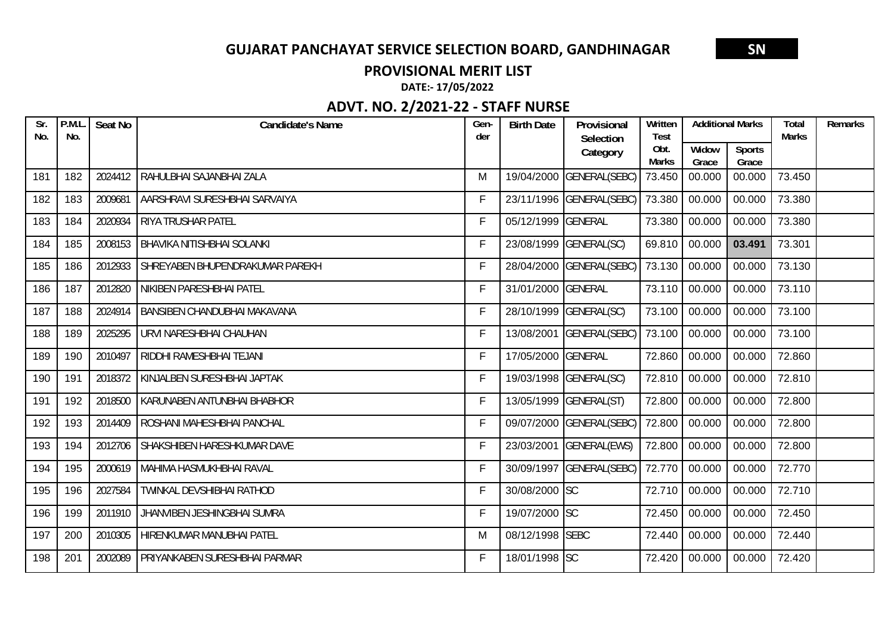#### **PROVISIONAL MERIT LIST**

**DATE:‐ 17/05/2022**

| $\overline{\mathsf{Sr}}$<br>No. | P.M.L<br>No. | Seat No | <b>Candidate's Name</b>             | Gen-<br>der | <b>Birth Date</b>  | Provisional<br>Selection | Written<br><b>Test</b> | <b>Additional Marks</b> |                        | Total<br><b>Marks</b> | Remarks |
|---------------------------------|--------------|---------|-------------------------------------|-------------|--------------------|--------------------------|------------------------|-------------------------|------------------------|-----------------------|---------|
|                                 |              |         |                                     |             |                    | Category                 | Obt.<br><b>Marks</b>   | Widow<br>Grace          | <b>Sports</b><br>Grace |                       |         |
| 181                             | 182          | 2024412 | RAHULBHAI SAJANBHAI ZALA            | M           |                    | 19/04/2000 GENERAL(SEBC) | 73.450                 | 00.000                  | 00.000                 | 73.450                |         |
| 182                             | 183          | 2009681 | AARSHRAVI SURESHBHAI SARVAIYA       | F           |                    | 23/11/1996 GENERAL(SEBC) | 73.380                 | 00.000                  | 00.000                 | 73.380                |         |
| 183                             | 184          | 2020934 | <b>RIYA TRUSHAR PATEL</b>           | F           | 05/12/1999 GENERAL |                          | 73.380                 | 00.000                  | 00.000                 | 73.380                |         |
| 184                             | 185          | 2008153 | <b>BHAVIKA NITISHBHAI SOLANKI</b>   | F           |                    | 23/08/1999 GENERAL(SC)   | 69.810                 | 00.000                  | 03.491                 | 73.301                |         |
| 185                             | 186          | 2012933 | SHREYABEN BHUPENDRAKUMAR PAREKH     | F           |                    | 28/04/2000 GENERAL(SEBC) | 73.130                 | 00.000                  | 00.000                 | 73.130                |         |
| 186                             | 187          | 2012820 | NIKIBEN PARESHBHAI PATEL            | F           | 31/01/2000 GENERAL |                          | 73.110                 | 00.000                  | 00.000                 | 73.110                |         |
| 187                             | 188          | 2024914 | <b>BANSIBEN CHANDUBHAI MAKAVANA</b> | F           |                    | 28/10/1999 GENERAL(SC)   | 73.100                 | 00.000                  | 00.000                 | 73.100                |         |
| 188                             | 189          | 2025295 | URVI NARESHBHAI CHAUHAN             | F           |                    | 13/08/2001 GENERAL(SEBC) | 73.100                 | 00.000                  | 00.000                 | 73.100                |         |
| 189                             | 190          | 2010497 | RIDDHI RAMESHBHAI TEJANI            | F           | 17/05/2000 GENERAL |                          | 72.860                 | 00.000                  | 00.000                 | 72.860                |         |
| 190                             | 191          | 2018372 | KINJALBEN SURESHBHAI JAPTAK         | F           |                    | 19/03/1998 GENERAL(SC)   | 72.810                 | 00.000                  | 00.000                 | 72.810                |         |
| 191                             | 192          | 2018500 | KARUNABEN ANTUNBHAI BHABHOR         | F           |                    | 13/05/1999 GENERAL(ST)   | 72.800                 | 00.000                  | 00.000                 | 72.800                |         |
| 192                             | 193          | 2014409 | ROSHANI MAHESHBHAI PANCHAL          | F           |                    | 09/07/2000 GENERAL(SEBC) | 72.800                 | 00.000                  | 00.000                 | 72.800                |         |
| 193                             | 194          | 2012706 | SHAKSHIBEN HARESHKUMAR DAVE         | F           |                    | 23/03/2001 GENERAL(EWS)  | 72.800                 | 00.000                  | 00.000                 | 72.800                |         |
| 194                             | 195          | 2000619 | MAHIMA HASMUKHBHAI RAVAL            | F           |                    | 30/09/1997 GENERAL(SEBC) | 72.770                 | 00.000                  | 00.000                 | 72.770                |         |
| 195                             | 196          | 2027584 | TWINKAL DEVSHIBHAI RATHOD           | F           | 30/08/2000 SC      |                          | 72.710                 | 00.000                  | 00.000                 | 72.710                |         |
| 196                             | 199          | 2011910 | JHANVIBEN JESHINGBHAI SUMRA         | F           | 19/07/2000 SC      |                          | 72.450                 | 00.000                  | 00.000                 | 72.450                |         |
| 197                             | 200          | 2010305 | HIRENKUMAR MANUBHAI PATEL           | M           | 08/12/1998 SEBC    |                          | 72.440                 | 00.000                  | 00.000                 | 72.440                |         |
| 198                             | 201          | 2002089 | PRIYANKABEN SURESHBHAI PARMAR       | F           | 18/01/1998 SC      |                          | 72.420                 | 00.000                  | 00.000                 | 72.420                |         |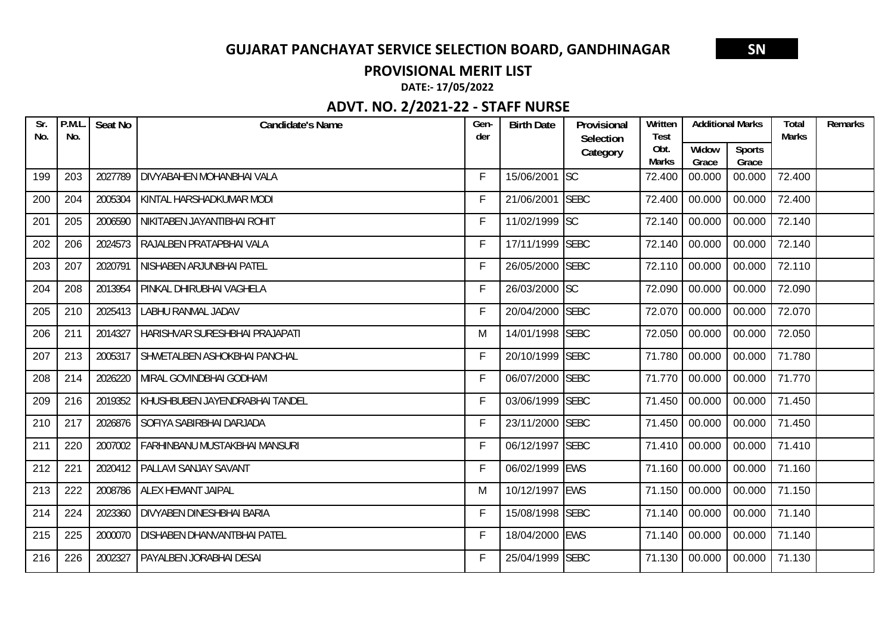#### **PROVISIONAL MERIT LIST**

**DATE:‐ 17/05/2022**

| Sr.<br>No. | P.M.L<br>No. | Seat No | <b>Candidate's Name</b>              | Gen-<br>der | <b>Birth Date</b> | Provisional<br>Selection | Written<br><b>Test</b> | <b>Additional Marks</b> |                        | <b>Total</b><br><b>Marks</b> | Remarks |
|------------|--------------|---------|--------------------------------------|-------------|-------------------|--------------------------|------------------------|-------------------------|------------------------|------------------------------|---------|
|            |              |         |                                      |             |                   | Category                 | Obt.<br><b>Marks</b>   | Widow<br>Grace          | <b>Sports</b><br>Grace |                              |         |
| 199        | 203          | 2027789 | <b>DIVYABAHEN MOHANBHAI VALA</b>     | F           | 15/06/2001 SC     |                          | 72.400                 | 00.000                  | 00.000                 | 72.400                       |         |
| 200        | 204          | 2005304 | KINTAL HARSHADKUMAR MODI             | F           | 21/06/2001 SEBC   |                          | 72.400                 | 00.000                  | 00.000                 | 72.400                       |         |
| 201        | 205          | 2006590 | NIKITABEN JAYANTIBHAI ROHIT          | F           | 11/02/1999 SC     |                          | 72.140                 | 00.000                  | 00.000                 | 72.140                       |         |
| 202        | 206          | 2024573 | RAJALBEN PRATAPBHAI VALA             | F           | 17/11/1999 SEBC   |                          | 72.140                 | 00.000                  | 00.000                 | 72.140                       |         |
| 203        | 207          | 2020791 | NISHABEN ARJUNBHAI PATEL             | F           | 26/05/2000 SEBC   |                          | 72.110                 | 00.000                  | 00.000                 | 72.110                       |         |
| 204        | 208          | 2013954 | PINKAL DHIRUBHAI VAGHELA             | F           | 26/03/2000 SC     |                          | 72.090                 | 00.000                  | 00.000                 | 72.090                       |         |
| 205        | 210          | 2025413 | <b>LABHU RANMAL JADAV</b>            | F           | 20/04/2000 SEBC   |                          | 72.070                 | 00.000                  | 00.000                 | 72.070                       |         |
| 206        | 211          | 2014327 | HARISHVAR SURESHBHAI PRAJAPATI       | M           | 14/01/1998 SEBC   |                          | 72.050                 | 00.000                  | 00.000                 | 72.050                       |         |
| 207        | 213          | 2005317 | SHWETALBEN ASHOKBHAI PANCHAL         | F           | 20/10/1999 SEBC   |                          | 71.780                 | 00.000                  | 00.000                 | 71.780                       |         |
| 208        | 214          | 2026220 | MIRAL GOVINDBHAI GODHAM              | F           | 06/07/2000 SEBC   |                          | 71.770                 | 00.000                  | 00.000                 | 71.770                       |         |
| 209        | 216          | 2019352 | KHUSHBUBEN JAYENDRABHAI TANDEL       | F           | 03/06/1999 SEBC   |                          | 71.450                 | 00.000                  | 00.000                 | 71.450                       |         |
| 210        | 217          | 2026876 | SOFIYA SABIRBHAI DARJADA             | F           | 23/11/2000 SEBC   |                          | 71.450                 | 00.000                  | 00.000                 | 71.450                       |         |
| 211        | 220          | 2007002 | <b>FARHINBANU MUSTAKBHAI MANSURI</b> | F           | 06/12/1997 SEBC   |                          | 71.410                 | 00.000                  | 00.000                 | 71.410                       |         |
| 212        | 221          | 2020412 | <b>PALLAVI SANJAY SAVANT</b>         | F           | 06/02/1999 EWS    |                          | 71.160                 | 00.000                  | 00.000                 | 71.160                       |         |
| 213        | 222          | 2008786 | ALEX HEMANT JAIPAL                   | M           | 10/12/1997 EWS    |                          | 71.150                 | 00.000                  | 00.000                 | 71.150                       |         |
| 214        | 224          | 2023360 | <b>DIVYABEN DINESHBHAI BARIA</b>     | F           | 15/08/1998 SEBC   |                          | 71.140                 | 00.000                  | 00.000                 | 71.140                       |         |
| 215        | 225          | 2000070 | <b>DISHABEN DHANVANTBHAI PATEL</b>   | F           | 18/04/2000 EWS    |                          | 71.140                 | 00.000                  | 00.000                 | 71.140                       |         |
| 216        | 226          | 2002327 | <b>PAYALBEN JORABHAI DESAI</b>       | F           | 25/04/1999 SEBC   |                          | 71.130                 | 00.000                  | 00.000                 | 71.130                       |         |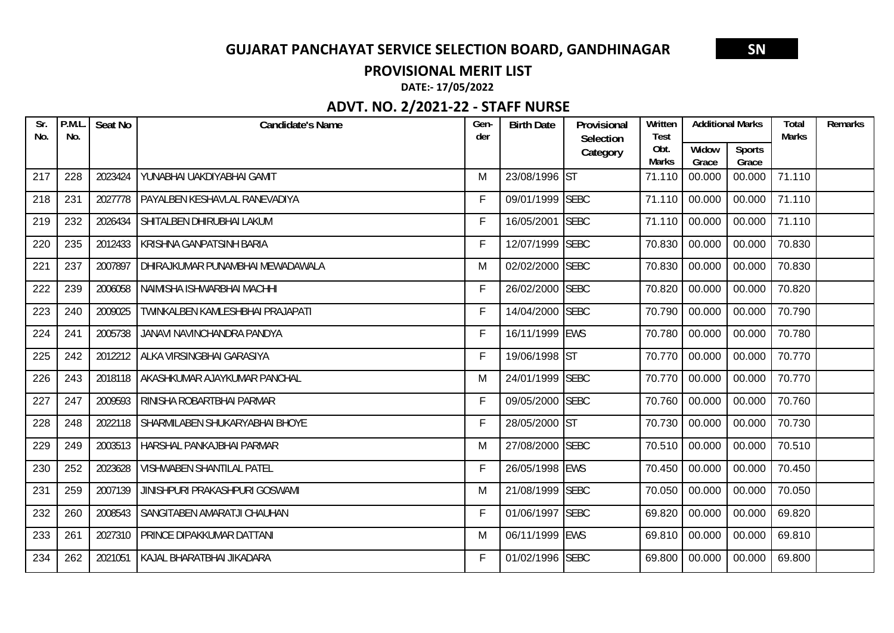#### **PROVISIONAL MERIT LIST**

**DATE:‐ 17/05/2022**

| Sr.<br>No. | P.M.L<br>No. | Seat No | Candidate's Name                     | Gen-<br>der | <b>Birth Date</b> | Provisional<br>Selection | Written<br><b>Test</b> |                | <b>Additional Marks</b> | <b>Total</b><br><b>Marks</b> | Remarks |
|------------|--------------|---------|--------------------------------------|-------------|-------------------|--------------------------|------------------------|----------------|-------------------------|------------------------------|---------|
|            |              |         |                                      |             |                   | Category                 | Obt.<br>Marks          | Widow<br>Grace | <b>Sports</b><br>Grace  |                              |         |
| 217        | 228          | 2023424 | YUNABHAI UAKDIYABHAI GAMIT           | M           | 23/08/1996 ST     |                          | 71.110                 | 00.000         | 00.000                  | 71.110                       |         |
| 218        | 231          | 2027778 | <b>PAYALBEN KESHAVLAL RANEVADIYA</b> | F           | 09/01/1999 SEBC   |                          | 71.110                 | 00.000         | 00.000                  | 71.110                       |         |
| 219        | 232          | 2026434 | SHITALBEN DHIRUBHAI LAKUM            | F           | 16/05/2001        | <b>SEBC</b>              | 71.110                 | 00.000         | 00.000                  | 71.110                       |         |
| 220        | 235          | 2012433 | <b>KRISHNA GANPATSINH BARIA</b>      | $\mathsf F$ | 12/07/1999 SEBC   |                          | 70.830                 | 00.000         | 00.000                  | 70.830                       |         |
| 221        | 237          | 2007897 | DHIRAJKUMAR PUNAMBHAI MEWADAWALA     | M           | 02/02/2000 SEBC   |                          | 70.830                 | 00.000         | 00.000                  | 70.830                       |         |
| 222        | 239          | 2006058 | NAIMISHA ISHWARBHAI MACHHI           | F           | 26/02/2000 SEBC   |                          | 70.820                 | 00.000         | 00.000                  | 70.820                       |         |
| 223        | 240          | 2009025 | TWINKALBEN KAMLESHBHAI PRAJAPATI     | F           | 14/04/2000 SEBC   |                          | 70.790                 | 00.000         | 00.000                  | 70.790                       |         |
| 224        | 241          | 2005738 | JANAVI NAVINCHANDRA PANDYA           | F           | 16/11/1999 EWS    |                          | 70.780                 | 00.000         | 00.000                  | 70.780                       |         |
| 225        | 242          | 2012212 | ALKA VIRSINGBHAI GARASIYA            | F           | 19/06/1998 ST     |                          | 70.770                 | 00.000         | 00.000                  | 70.770                       |         |
| 226        | 243          | 2018118 | AKASHKUMAR AJAYKUMAR PANCHAL         | M           | 24/01/1999 SEBC   |                          | 70.770                 | 00.000         | 00.000                  | 70.770                       |         |
| 227        | 247          | 2009593 | RINISHA ROBARTBHAI PARMAR            | F           | 09/05/2000 SEBC   |                          | 70.760                 | 00.000         | 00.000                  | 70.760                       |         |
| 228        | 248          | 2022118 | SHARMILABEN SHUKARYABHAI BHOYE       | F           | 28/05/2000 ST     |                          | 70.730                 | 00.000         | 00.000                  | 70.730                       |         |
| 229        | 249          | 2003513 | HARSHAL PANKAJBHAI PARMAR            | M           | 27/08/2000 SEBC   |                          | 70.510                 | 00.000         | 00.000                  | 70.510                       |         |
| 230        | 252          | 2023628 | <b>VISHWABEN SHANTILAL PATEL</b>     | F           | 26/05/1998 EWS    |                          | 70.450                 | 00.000         | 00.000                  | 70.450                       |         |
| 231        | 259          | 2007139 | JINISHPURI PRAKASHPURI GOSWAMI       | M           | 21/08/1999 SEBC   |                          | 70.050                 | 00.000         | 00.000                  | 70.050                       |         |
| 232        | 260          | 2008543 | SANGITABEN AMARATJI CHAUHAN          | F           | 01/06/1997 SEBC   |                          | 69.820                 | 00.000         | 00.000                  | 69.820                       |         |
| 233        | 261          | 2027310 | PRINCE DIPAKKUMAR DATTANI            | M           | 06/11/1999 EWS    |                          | 69.810                 | 00.000         | 00.000                  | 69.810                       |         |
| 234        | 262          | 2021051 | KAJAL BHARATBHAI JIKADARA            | F           | 01/02/1996 SEBC   |                          | 69.800                 | 00.000         | 00.000                  | 69.800                       |         |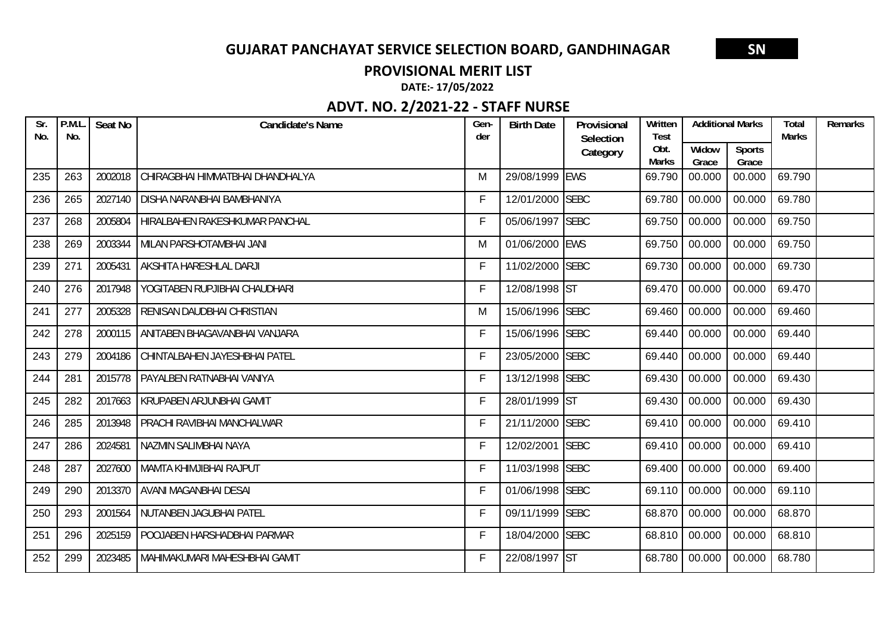#### **PROVISIONAL MERIT LIST**

**DATE:‐ 17/05/2022**

| Sr.<br>No. | P.M.L<br>No. | Seat No | <b>Candidate's Name</b>           | Gen-<br>der | <b>Birth Date</b> | Provisional<br>Selection | Written<br><b>Test</b> | <b>Additional Marks</b> |                        | Total<br><b>Marks</b> | Remarks |
|------------|--------------|---------|-----------------------------------|-------------|-------------------|--------------------------|------------------------|-------------------------|------------------------|-----------------------|---------|
|            |              |         |                                   |             |                   | Category                 | Obt.<br><b>Marks</b>   | Widow<br>Grace          | <b>Sports</b><br>Grace |                       |         |
| 235        | 263          | 2002018 | CHIRAGBHAI HIMMATBHAI DHANDHALYA  | M           | 29/08/1999 EWS    |                          | 69.790                 | 00.000                  | 00.000                 | 69.790                |         |
| 236        | 265          | 2027140 | <b>DISHA NARANBHAI BAMBHANIYA</b> | F           | 12/01/2000 SEBC   |                          | 69.780                 | 00.000                  | 00.000                 | 69.780                |         |
| 237        | 268          | 2005804 | HIRALBAHEN RAKESHKUMAR PANCHAL    | F           | 05/06/1997 SEBC   |                          | 69.750                 | 00.000                  | 00.000                 | 69.750                |         |
| 238        | 269          | 2003344 | MILAN PARSHOTAMBHAI JANI          | M           | 01/06/2000 EWS    |                          | 69.750                 | 00.000                  | 00.000                 | 69.750                |         |
| 239        | 271          | 2005431 | AKSHITA HARESHLAL DARJI           | F           | 11/02/2000 SEBC   |                          | 69.730                 | 00.000                  | 00.000                 | 69.730                |         |
| 240        | 276          | 2017948 | YOGITABEN RUPJIBHAI CHAUDHARI     | F           | 12/08/1998 ST     |                          | 69.470                 | 00.000                  | 00.000                 | 69.470                |         |
| 241        | 277          | 2005328 | RENISAN DAUDBHAI CHRISTIAN        | M           | 15/06/1996 SEBC   |                          | 69.460                 | 00.000                  | 00.000                 | 69.460                |         |
| 242        | 278          | 2000115 | ANITABEN BHAGAVANBHAI VANJARA     | F           | 15/06/1996 SEBC   |                          | 69.440                 | 00.000                  | 00.000                 | 69.440                |         |
| 243        | 279          | 2004186 | CHINTALBAHEN JAYESHBHAI PATEL     | F           | 23/05/2000 SEBC   |                          | 69.440                 | 00.000                  | 00.000                 | 69.440                |         |
| 244        | 281          | 2015778 | <b>PAYALBEN RATNABHAI VANIYA</b>  | F           | 13/12/1998 SEBC   |                          | 69.430                 | 00.000                  | 00.000                 | 69.430                |         |
| 245        | 282          | 2017663 | KRUPABEN ARJUNBHAI GAMIT          | F           | 28/01/1999 ST     |                          | 69.430                 | 00.000                  | 00.000                 | 69.430                |         |
| 246        | 285          | 2013948 | PRACHI RAVIBHAI MANCHALWAR        | F           | 21/11/2000 SEBC   |                          | 69.410                 | 00.000                  | 00.000                 | 69.410                |         |
| 247        | 286          | 2024581 | NAZMIN SALIMBHAI NAYA             | F           | 12/02/2001 SEBC   |                          | 69.410                 | 00.000                  | 00.000                 | 69.410                |         |
| 248        | 287          | 2027600 | MAMTA KHIMJIBHAI RAJPUT           | F           | 11/03/1998 SEBC   |                          | 69.400                 | 00.000                  | 00.000                 | 69.400                |         |
| 249        | 290          | 2013370 | <b>AVANI MAGANBHAI DESAI</b>      | F           | 01/06/1998 SEBC   |                          | 69.110                 | 00.000                  | 00.000                 | 69.110                |         |
| 250        | 293          | 2001564 | NUTANBEN JAGUBHAI PATEL           | F           | 09/11/1999 SEBC   |                          | 68.870                 | 00.000                  | 00.000                 | 68.870                |         |
| 251        | 296          | 2025159 | POOJABEN HARSHADBHAI PARMAR       | F           | 18/04/2000 SEBC   |                          | 68.810                 | 00.000                  | 00.000                 | 68.810                |         |
| 252        | 299          | 2023485 | MAHIMAKUMARI MAHESHBHAI GAMIT     | F           | 22/08/1997 ST     |                          | 68.780                 | 00.000                  | 00.000                 | 68.780                |         |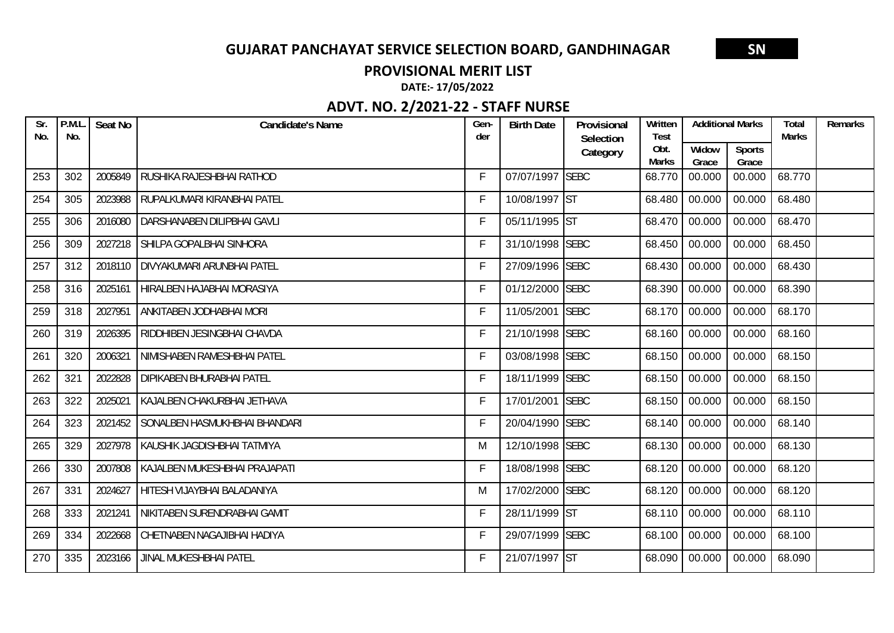#### **PROVISIONAL MERIT LIST**

**DATE:‐ 17/05/2022**

| Sr.<br>No. | P.M.L<br>No. | Seat No | <b>Candidate's Name</b>          | Gen-<br>der | <b>Birth Date</b> | Provisional<br>Selection | Written<br><b>Test</b> | <b>Additional Marks</b> |                        | <b>Total</b><br><b>Marks</b> | Remarks |
|------------|--------------|---------|----------------------------------|-------------|-------------------|--------------------------|------------------------|-------------------------|------------------------|------------------------------|---------|
|            |              |         |                                  |             |                   | Category                 | Obt.<br><b>Marks</b>   | Widow<br>Grace          | <b>Sports</b><br>Grace |                              |         |
| 253        | 302          | 2005849 | RUSHIKA RAJESHBHAI RATHOD        | F           | 07/07/1997 SEBC   |                          | 68.770                 | 00.000                  | 00.000                 | 68.770                       |         |
| 254        | 305          | 2023988 | RUPALKUMARI KIRANBHAI PATEL      | F           | 10/08/1997 ST     |                          | 68.480                 | 00.000                  | 00.000                 | 68.480                       |         |
| 255        | 306          | 2016080 | DARSHANABEN DILIPBHAI GAVLI      | F           | 05/11/1995 ST     |                          | 68.470                 | 00.000                  | 00.000                 | 68.470                       |         |
| 256        | 309          | 2027218 | SHILPA GOPALBHAI SINHORA         | F           | 31/10/1998 SEBC   |                          | 68.450                 | 00.000                  | 00.000                 | 68.450                       |         |
| 257        | 312          | 2018110 | DIVYAKUMARI ARUNBHAI PATEL       | F           | 27/09/1996 SEBC   |                          | 68.430                 | 00.000                  | 00.000                 | 68.430                       |         |
| 258        | 316          | 2025161 | HIRALBEN HAJABHAI MORASIYA       | F           | 01/12/2000 SEBC   |                          | 68.390                 | 00.000                  | 00.000                 | 68.390                       |         |
| 259        | 318          | 2027951 | ANKITABEN JODHABHAI MORI         | F           | 11/05/2001 SEBC   |                          | 68.170                 | 00.000                  | 00.000                 | 68.170                       |         |
| 260        | 319          | 2026395 | RIDDHIBEN JESINGBHAI CHAVDA      | F           | 21/10/1998 SEBC   |                          | 68.160                 | 00.000                  | 00.000                 | 68.160                       |         |
| 261        | 320          | 2006321 | NIMISHABEN RAMESHBHAI PATEL      | F           | 03/08/1998 SEBC   |                          | 68.150                 | 00.000                  | 00.000                 | 68.150                       |         |
| 262        | 321          | 2022828 | <b>DIPIKABEN BHURABHAI PATEL</b> | F           | 18/11/1999 SEBC   |                          | 68.150                 | 00.000                  | 00.000                 | 68.150                       |         |
| 263        | 322          | 2025021 | KAJALBEN CHAKURBHAI JETHAVA      | F           | 17/01/2001 SEBC   |                          | 68.150                 | 00.000                  | 00.000                 | 68.150                       |         |
| 264        | 323          | 2021452 | SONALBEN HASMUKHBHAI BHANDARI    | F           | 20/04/1990 SEBC   |                          | 68.140                 | 00.000                  | 00.000                 | 68.140                       |         |
| 265        | 329          | 2027978 | KAUSHIK JAGDISHBHAI TATMIYA      | M           | 12/10/1998 SEBC   |                          | 68.130                 | 00.000                  | 00.000                 | 68.130                       |         |
| 266        | 330          | 2007808 | KAJALBEN MUKESHBHAI PRAJAPATI    | F           | 18/08/1998 SEBC   |                          | 68.120                 | 00.000                  | 00.000                 | 68.120                       |         |
| 267        | 331          | 2024627 | HITESH VIJAYBHAI BALADANIYA      | M           | 17/02/2000 SEBC   |                          | 68.120                 | 00.000                  | 00.000                 | 68.120                       |         |
| 268        | 333          | 2021241 | NIKITABEN SURENDRABHAI GAMIT     | F           | 28/11/1999 ST     |                          | 68.110                 | 00.000                  | 00.000                 | 68.110                       |         |
| 269        | 334          | 2022668 | CHETNABEN NAGAJIBHAI HADIYA      | F           | 29/07/1999 SEBC   |                          | 68.100                 | 00.000                  | 00.000                 | 68.100                       |         |
| 270        | 335          | 2023166 | JINAL MUKESHBHAI PATEL           | F           | 21/07/1997 ST     |                          | 68.090                 | 00.000                  | 00.000                 | 68.090                       |         |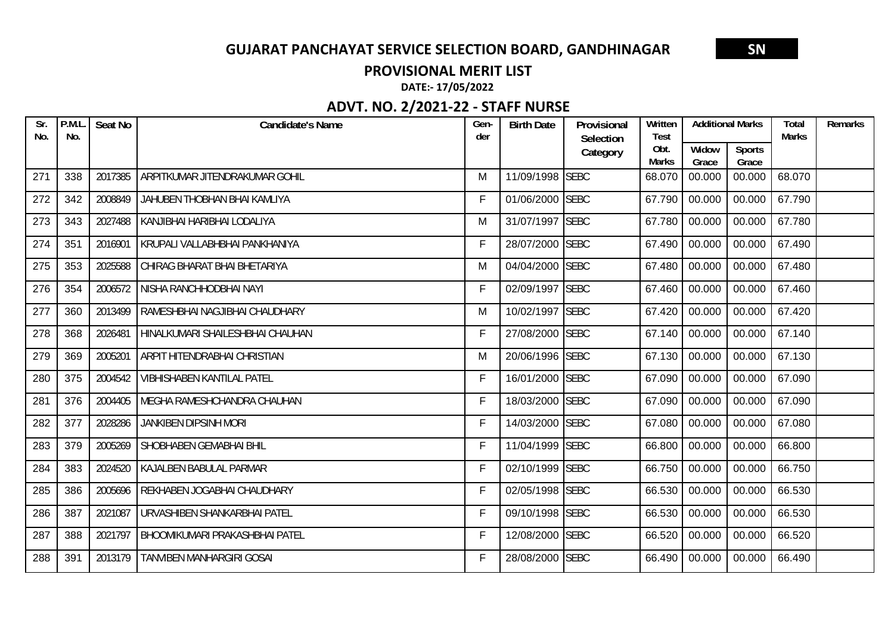#### **PROVISIONAL MERIT LIST**

**DATE:‐ 17/05/2022**

| Sr.<br>No. | P.M.L<br>No. | Seat No | <b>Candidate's Name</b>               | Gen-<br>der | <b>Birth Date</b> | Provisional<br>Selection | Written<br><b>Test</b> | <b>Additional Marks</b> |                        | <b>Total</b><br><b>Marks</b> | Remarks |
|------------|--------------|---------|---------------------------------------|-------------|-------------------|--------------------------|------------------------|-------------------------|------------------------|------------------------------|---------|
|            |              |         |                                       |             |                   | Category                 | Obt.<br><b>Marks</b>   | Widow<br>Grace          | <b>Sports</b><br>Grace |                              |         |
| 271        | 338          | 2017385 | ARPITKUMAR JITENDRAKUMAR GOHIL        | M           | 11/09/1998 SEBC   |                          | 68.070                 | 00.000                  | 00.000                 | 68.070                       |         |
| 272        | 342          | 2008849 | JAHUBEN THOBHAN BHAI KAMLIYA          | F           | 01/06/2000 SEBC   |                          | 67.790                 | 00.000                  | 00.000                 | 67.790                       |         |
| 273        | 343          | 2027488 | KANJIBHAI HARIBHAI LODALIYA           | M           | 31/07/1997 SEBC   |                          | 67.780                 | 00.000                  | 00.000                 | 67.780                       |         |
| 274        | 351          | 2016901 | KRUPALI VALLABHBHAI PANKHANIYA        | F           | 28/07/2000 SEBC   |                          | 67.490                 | 00.000                  | 00.000                 | 67.490                       |         |
| 275        | 353          | 2025588 | CHIRAG BHARAT BHAI BHETARIYA          | M           | 04/04/2000 SEBC   |                          | 67.480                 | 00.000                  | 00.000                 | 67.480                       |         |
| 276        | 354          | 2006572 | NISHA RANCHHODBHAI NAYI               | F           | 02/09/1997 SEBC   |                          | 67.460                 | 00.000                  | 00.000                 | 67.460                       |         |
| 277        | 360          | 2013499 | RAMESHBHAI NAGJIBHAI CHAUDHARY        | M           | 10/02/1997 SEBC   |                          | 67.420                 | 00.000                  | 00.000                 | 67.420                       |         |
| 278        | 368          | 2026481 | HINALKUMARI SHAILESHBHAI CHAUHAN      | F           | 27/08/2000 SEBC   |                          | 67.140                 | 00.000                  | 00.000                 | 67.140                       |         |
| 279        | 369          | 2005201 | <b>ARPIT HITENDRABHAI CHRISTIAN</b>   | M           | 20/06/1996 SEBC   |                          | 67.130                 | 00.000                  | 00.000                 | 67.130                       |         |
| 280        | 375          | 2004542 | <b>VIBHISHABEN KANTILAL PATEL</b>     | F           | 16/01/2000 SEBC   |                          | 67.090                 | 00.000                  | 00.000                 | 67.090                       |         |
| 281        | 376          | 2004405 | MEGHA RAMESHCHANDRA CHAUHAN           | F           | 18/03/2000 SEBC   |                          | 67.090                 | 00.000                  | 00.000                 | 67.090                       |         |
| 282        | 377          | 2028286 | <b>JANKIBEN DIPSINH MORI</b>          | F           | 14/03/2000 SEBC   |                          | 67.080                 | 00.000                  | 00.000                 | 67.080                       |         |
| 283        | 379          | 2005269 | <b>SHOBHABEN GEMABHAI BHIL</b>        | F           | 11/04/1999 SEBC   |                          | 66.800                 | 00.000                  | 00.000                 | 66.800                       |         |
| 284        | 383          | 2024520 | KAJALBEN BABULAL PARMAR               | F           | 02/10/1999 SEBC   |                          | 66.750                 | 00.000                  | 00.000                 | 66.750                       |         |
| 285        | 386          | 2005696 | REKHABEN JOGABHAI CHAUDHARY           | F           | 02/05/1998 SEBC   |                          | 66.530                 | 00.000                  | 00.000                 | 66.530                       |         |
| 286        | 387          | 2021087 | URVASHIBEN SHANKARBHAI PATEL          | F           | 09/10/1998 SEBC   |                          | 66.530                 | 00.000                  | 00.000                 | 66.530                       |         |
| 287        | 388          | 2021797 | <b>BHOOMIKUMARI PRAKASHBHAI PATEL</b> | F           | 12/08/2000 SEBC   |                          | 66.520                 | 00.000                  | 00.000                 | 66.520                       |         |
| 288        | 391          | 2013179 | <b>TANVIBEN MANHARGIRI GOSAI</b>      | F           | 28/08/2000 SEBC   |                          | 66.490                 | 00.000                  | 00.000                 | 66.490                       |         |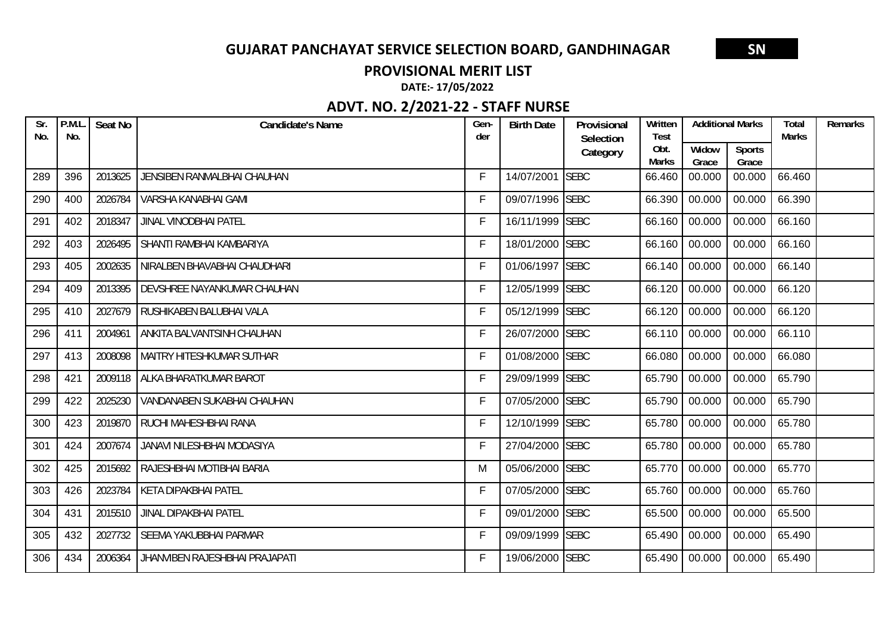#### **PROVISIONAL MERIT LIST**

**DATE:‐ 17/05/2022**

| Sr.<br>No. | P.M.L<br>No. | Seat No | Candidate's Name               | Gen-<br>der | <b>Birth Date</b> | Provisional<br>Selection | Written<br><b>Test</b> | <b>Additional Marks</b> |                        | <b>Total</b><br><b>Marks</b> | Remarks |
|------------|--------------|---------|--------------------------------|-------------|-------------------|--------------------------|------------------------|-------------------------|------------------------|------------------------------|---------|
|            |              |         |                                |             |                   | Category                 | Obt.<br><b>Marks</b>   | Widow<br>Grace          | <b>Sports</b><br>Grace |                              |         |
| 289        | 396          | 2013625 | JENSIBEN RANMALBHAI CHAUHAN    | F           | 14/07/2001 SEBC   |                          | 66.460                 | 00.000                  | 00.000                 | 66.460                       |         |
| 290        | 400          | 2026784 | VARSHA KANABHAI GAMI           | F           | 09/07/1996 SEBC   |                          | 66.390                 | 00.000                  | 00.000                 | 66.390                       |         |
| 291        | 402          | 2018347 | <b>JINAL VINODBHAI PATEL</b>   | F           | 16/11/1999 SEBC   |                          | 66.160                 | 00.000                  | 00.000                 | 66.160                       |         |
| 292        | 403          | 2026495 | SHANTI RAMBHAI KAMBARIYA       | $\mathsf F$ | 18/01/2000 SEBC   |                          | 66.160                 | 00.000                  | 00.000                 | 66.160                       |         |
| 293        | 405          | 2002635 | NIRALBEN BHAVABHAI CHAUDHARI   | F           | 01/06/1997 SEBC   |                          | 66.140                 | 00.000                  | 00.000                 | 66.140                       |         |
| 294        | 409          | 2013395 | DEVSHREE NAYANKUMAR CHAUHAN    | F           | 12/05/1999 SEBC   |                          | 66.120                 | 00.000                  | 00.000                 | 66.120                       |         |
| 295        | 410          | 2027679 | RUSHIKABEN BALUBHAI VALA       | F           | 05/12/1999 SEBC   |                          | 66.120                 | 00.000                  | 00.000                 | 66.120                       |         |
| 296        | 411          | 2004961 | ANKITA BALVANTSINH CHAUHAN     | F           | 26/07/2000 SEBC   |                          | 66.110                 | 00.000                  | 00.000                 | 66.110                       |         |
| 297        | 413          | 2008098 | MAITRY HITESHKUMAR SUTHAR      | F           | 01/08/2000 SEBC   |                          | 66.080                 | 00.000                  | 00.000                 | 66.080                       |         |
| 298        | 421          | 2009118 | ALKA BHARATKUMAR BAROT         | F           | 29/09/1999 SEBC   |                          | 65.790                 | 00.000                  | 00.000                 | 65.790                       |         |
| 299        | 422          | 2025230 | VANDANABEN SUKABHAI CHAUHAN    | F           | 07/05/2000 SEBC   |                          | 65.790                 | 00.000                  | 00.000                 | 65.790                       |         |
| 300        | 423          | 2019870 | RUCHI MAHESHBHAI RANA          | F           | 12/10/1999 SEBC   |                          | 65.780                 | 00.000                  | 00.000                 | 65.780                       |         |
| 301        | 424          | 2007674 | JANAVI NILESHBHAI MODASIYA     | F           | 27/04/2000 SEBC   |                          | 65.780                 | 00.000                  | 00.000                 | 65.780                       |         |
| 302        | 425          | 2015692 | RAJESHBHAI MOTIBHAI BARIA      | M           | 05/06/2000 SEBC   |                          | 65.770                 | 00.000                  | 00.000                 | 65.770                       |         |
| 303        | 426          | 2023784 | <b>KETA DIPAKBHAI PATEL</b>    | F           | 07/05/2000 SEBC   |                          | 65.760                 | 00.000                  | 00.000                 | 65.760                       |         |
| 304        | 431          | 2015510 | JINAL DIPAKBHAI PATEL          | F           | 09/01/2000 SEBC   |                          | 65.500                 | 00.000                  | 00.000                 | 65.500                       |         |
| 305        | 432          | 2027732 | <b>SEEMA YAKUBBHAI PARMAR</b>  | F           | 09/09/1999 SEBC   |                          | 65.490                 | 00.000                  | 00.000                 | 65.490                       |         |
| 306        | 434          | 2006364 | JHANVIBEN RAJESHBHAI PRAJAPATI | F           | 19/06/2000 SEBC   |                          | 65.490                 | 00.000                  | 00.000                 | 65.490                       |         |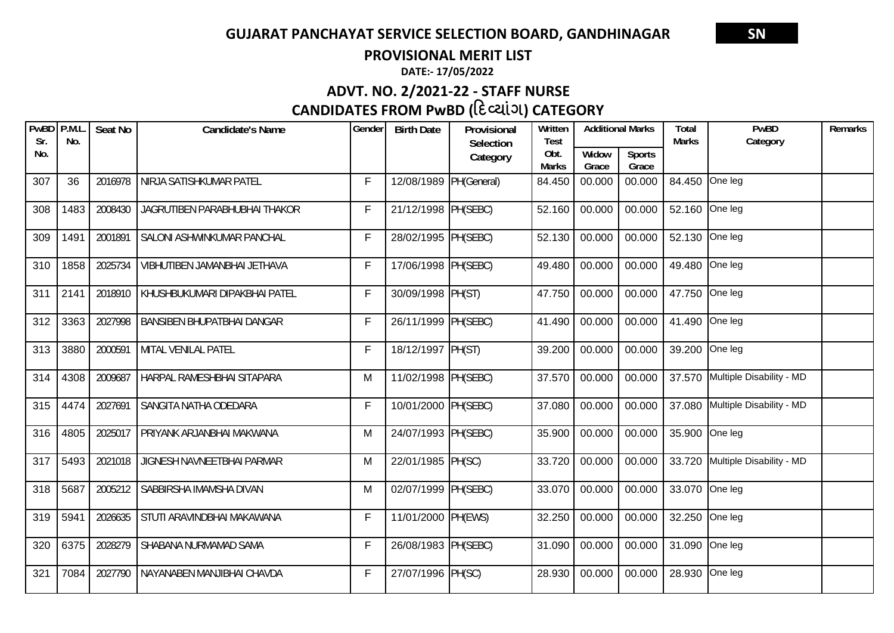**PROVISIONAL MERIT LIST**

**DATE:‐ 17/05/2022**

# **CANDIDATES FROM PwBD (દƥયાંગ) CATEGORY ADVT. NO. 2/2021‐22 ‐ STAFF NURSE**

| PwBD P.M.L<br>Sr. | No.  | Seat No | <b>Candidate's Name</b>       | Gender      | <b>Birth Date</b>      | Provisional<br>Selection | Written<br><b>Test</b> | <b>Additional Marks</b> |                        | <b>Total</b><br><b>Marks</b> | PwBD<br>Category                | Remarks |
|-------------------|------|---------|-------------------------------|-------------|------------------------|--------------------------|------------------------|-------------------------|------------------------|------------------------------|---------------------------------|---------|
| No.               |      |         |                               |             |                        | Category                 | Obt.<br><b>Marks</b>   | Widow<br>Grace          | <b>Sports</b><br>Grace |                              |                                 |         |
| 307               | 36   | 2016978 | NIRJA SATISHKUMAR PATEL       | $\mathsf F$ | 12/08/1989 PH(General) |                          | 84.450                 | 00.000                  | 00.000                 | 84.450 One leg               |                                 |         |
| 308               | 1483 | 2008430 | JAGRUTIBEN PARABHUBHAI THAKOR | $\mathsf F$ | 21/12/1998 PH(SEBC)    |                          | 52.160                 | 00.000                  | 00.000                 | 52.160 One leg               |                                 |         |
| 309               | 1491 | 2001891 | SALONI ASHWINKUMAR PANCHAL    | $\mathsf F$ | 28/02/1995 PH(SEBC)    |                          | 52.130                 | 00.000                  | 00.000                 | 52.130 One leg               |                                 |         |
| 310               | 1858 | 2025734 | VIBHUTIBEN JAMANBHAI JETHAVA  | $\mathsf F$ | 17/06/1998 PH(SEBC)    |                          | 49.480                 | 00.000                  | 00.000                 | 49.480 One leg               |                                 |         |
| 311               | 2141 | 2018910 | KHUSHBUKUMARI DIPAKBHAI PATEL | $\mathsf F$ | 30/09/1998 PH(ST)      |                          | 47.750                 | 00.000                  | 00.000                 | 47.750 One leg               |                                 |         |
| 312               | 3363 | 2027998 | BANSIBEN BHUPATBHAI DANGAR    | $\mathsf F$ | 26/11/1999 PH(SEBC)    |                          | 41.490                 | 00.000                  | 00.000                 | 41.490                       | One leg                         |         |
| 313               | 3880 | 2000591 | MITAL VENILAL PATEL           | $\mathsf F$ | 18/12/1997 PH(ST)      |                          | 39.200                 | 00.000                  | 00.000                 | 39.200                       | One leg                         |         |
| 314               | 4308 | 2009687 | HARPAL RAMESHBHAI SITAPARA    | M           | 11/02/1998 PH(SEBC)    |                          | 37.570                 | 00.000                  | 00.000                 |                              | 37.570 Multiple Disability - MD |         |
| 315               | 4474 | 2027691 | SANGITA NATHA ODEDARA         | $\mathsf F$ | 10/01/2000 PH(SEBC)    |                          | 37.080                 | 00.000                  | 00.000                 |                              | 37.080 Multiple Disability - MD |         |
| 316               | 4805 | 2025017 | PRIYANK ARJANBHAI MAKWANA     | M           | 24/07/1993 PH(SEBC)    |                          | 35.900                 | 00.000                  | 00.000                 | 35.900 One leg               |                                 |         |
| 317               | 5493 | 2021018 | JIGNESH NAVNEETBHAI PARMAR    | M           | 22/01/1985 PH(SC)      |                          | 33.720                 | 00.000                  | 00.000                 | 33.720                       | Multiple Disability - MD        |         |
| 318               | 5687 | 2005212 | SABBIRSHA IMAMSHA DIVAN       | M           | 02/07/1999 PH(SEBC)    |                          | 33.070                 | 00.000                  | 00.000                 | 33.070 One leg               |                                 |         |
| 319               | 5941 | 2026635 | STUTI ARAVINDBHAI MAKAWANA    | $\mathsf F$ | 11/01/2000 PH(EWS)     |                          | 32.250                 | 00.000                  | 00.000                 | 32.250 One leg               |                                 |         |
| 320               | 6375 | 2028279 | SHABANA NURMAMAD SAMA         | $\mathsf F$ | 26/08/1983 PH(SEBC)    |                          | 31.090                 | 00.000                  | 00.000                 | 31.090                       | One leg                         |         |
| 321               | 7084 | 2027790 | NAYANABEN MANJIBHAI CHAVDA    | $\mathsf F$ | 27/07/1996 PH(SC)      |                          | 28.930                 | 00.000                  | 00.000                 | 28.930 One leg               |                                 |         |
|                   |      |         |                               |             | $\sim$ $\sim$ $\sim$   |                          |                        |                         |                        |                              |                                 |         |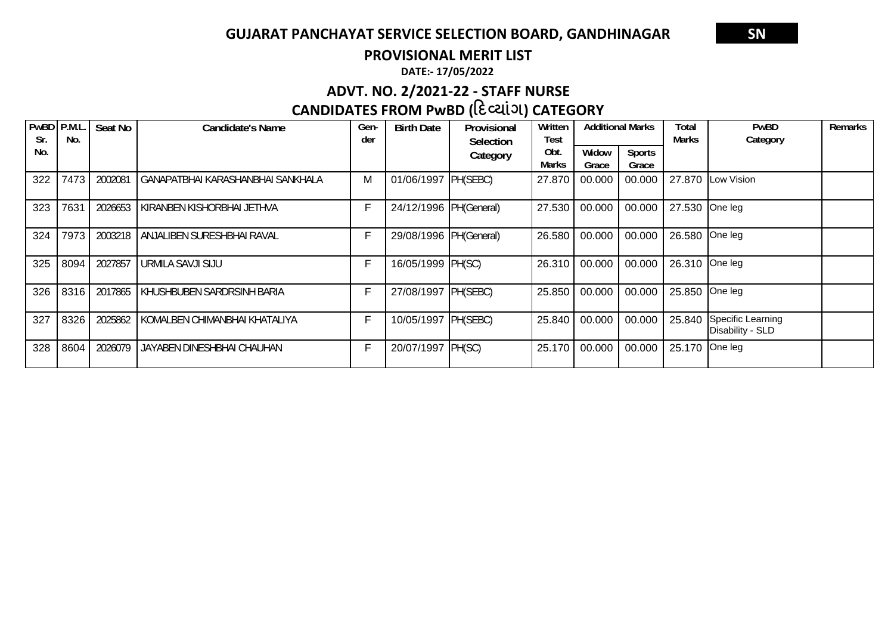**PROVISIONAL MERIT LIST**

**DATE:‐ 17/05/2022**

# **ADVT. NO. 2/2021‐22 ‐ STAFF NURSE**

# **CANDIDATES FROM PwBD (દƥયાંગ) CATEGORY**

| PwBD<br>Sr. | P.M.L<br>No. | Seat No | <b>Candidate's Name</b>           | Gen-<br>der | <b>Birth Date</b>      | Provisional<br>Selection | Written<br>Test |                | <b>Additional Marks</b> | Total<br><b>Marks</b> | <b>PwBD</b><br>Category               | Remarks |
|-------------|--------------|---------|-----------------------------------|-------------|------------------------|--------------------------|-----------------|----------------|-------------------------|-----------------------|---------------------------------------|---------|
| No.         |              |         |                                   |             |                        | Category                 | Obt.<br>Marks   | Widow<br>Grace | <b>Sports</b><br>Grace  |                       |                                       |         |
| 322         | 7473         | 2002081 | GANAPATBHAI KARASHANBHAI SANKHALA | M           | 01/06/1997 PH(SEBC)    |                          | 27.870          | 00.000         | 00.000                  | 27.870                | Low Vision                            |         |
| 323         | 7631         | 2026653 | KIRANBEN KISHORBHAI JETHVA        | F           | 24/12/1996 PH(General) |                          | 27.530          | 00.000         | 00.000                  | 27.530                | One leg                               |         |
| 324         | 7973         | 2003218 | ANJALIBEN SURESHBHAI RAVAL        | F           | 29/08/1996 PH(General) |                          | 26.580          | 00.000         | 00.000                  | 26.580                | One leg                               |         |
| 325         | 8094         | 2027857 | URMILA SAVJI SIJU                 | F           | 16/05/1999 PH(SC)      |                          | 26.310          | 00.000         | 00.000                  | 26.310                | One leg                               |         |
| 326         | 8316         | 2017865 | KHUSHBUBEN SARDRSINH BARIA        | F           | 27/08/1997 PH(SEBC)    |                          | 25.850          | 00.000         | 00.000                  | 25.850                | One leg                               |         |
| 327         | 8326         | 2025862 | KOMALBEN CHIMANBHAI KHATALIYA     | F           | 10/05/1997 PH(SEBC)    |                          | 25.840          | 00.000         | 00.000                  | 25.840                | Specific Learning<br>Disability - SLD |         |
| 328         | 8604         | 2026079 | JAYABEN DINESHBHAI CHAUHAN        | F           | 20/07/1997 PH(SC)      |                          | 25.170          | 00.000         | 00.000                  | 25.170                | One leg                               |         |